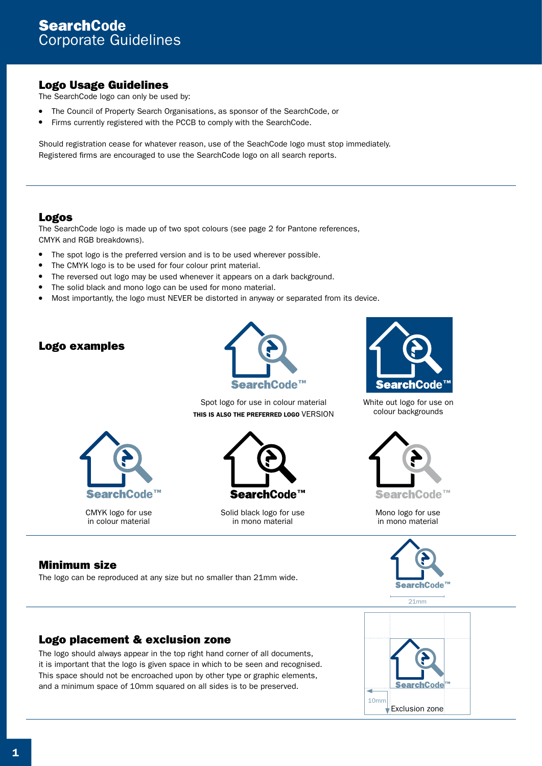## Logo Usage Guidelines

The SearchCode logo can only be used by:

- The Council of Property Search Organisations, as sponsor of the SearchCode, or
- Firms currently registered with the PCCB to comply with the SearchCode.

Should registration cease for whatever reason, use of the SeachCode logo must stop immediately. Registered firms are encouraged to use the SearchCode logo on all search reports.

#### Logos

The SearchCode logo is made up of two spot colours (see page 2 for Pantone references, CMYK and RGB breakdowns).

- The spot logo is the preferred version and is to be used wherever possible.
- The CMYK logo is to be used for four colour print material.
- The reversed out logo may be used whenever it appears on a dark background.
- The solid black and mono logo can be used for mono material.
- Most importantly, the logo must NEVER be distorted in anyway or separated from its device.

## Logo examples





CMYK logo for use in colour material

Spot logo for use in colour material THIS IS ALSO THE PREFERRED LOGO VERSION



Solid black logo for use in mono material



White out logo for use on colour backgrounds



Mono logo for use in mono material



21mm

# Minimum size

The logo can be reproduced at any size but no smaller than 21mm wide.

## Logo placement & exclusion zone

The logo should always appear in the top right hand corner of all documents, it is important that the logo is given space in which to be seen and recognised. This space should not be encroached upon by other type or graphic elements, and a minimum space of 10mm squared on all sides is to be preserved.